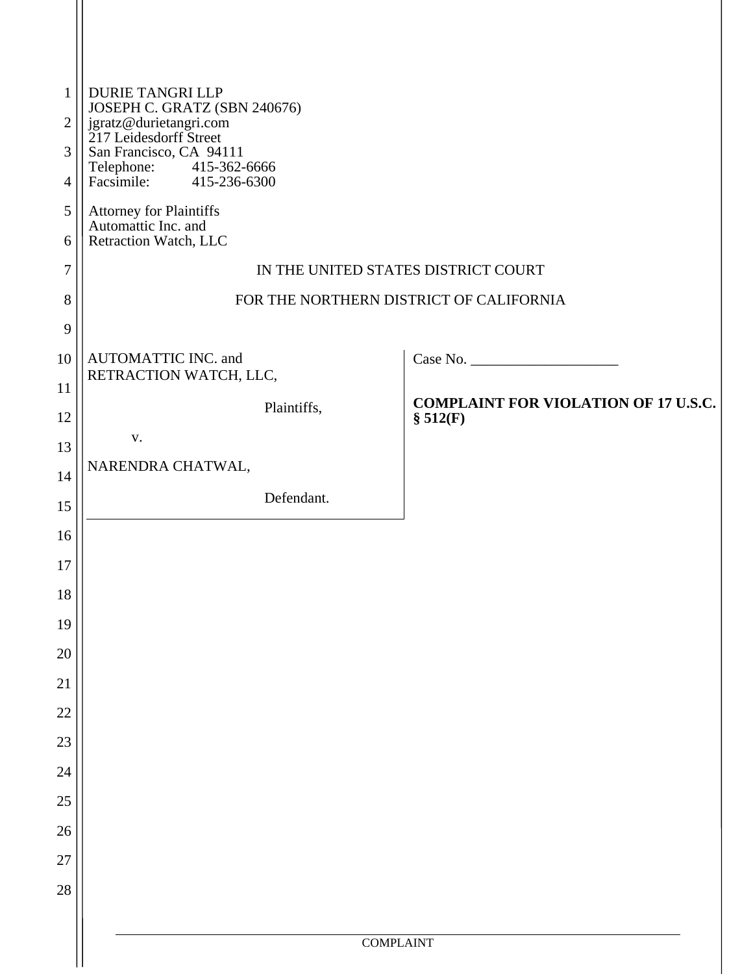| $\mathbf{1}$<br>$\mathfrak{2}$ | <b>DURIE TANGRI LLP</b><br>JOSEPH C. GRATZ (SBN 240676)                       |
|--------------------------------|-------------------------------------------------------------------------------|
| 3                              | jgratz@durietangri.com<br>217 Leidesdorff Street                              |
| 4                              | San Francisco, CA 94111<br>Telephone: 415-362-6666<br>Facsimile: 415-236-6300 |
| 5                              | Attorney for Plaintiffs                                                       |
| 6                              | Automattic Inc. and<br>Retraction Watch, LLC                                  |
| 7                              | IN THE UNITED STATES DISTRICT COURT                                           |
| 8                              | FOR THE NORTHERN DISTRICT OF CALIFORNIA                                       |
| 9                              |                                                                               |
| 10                             | AUTOMATTIC INC. and<br>RETRACTION WATCH, LLC,                                 |
| 11                             | <b>COMPLAINT FOR VIOLATION OF 17 U.S.C.</b>                                   |
| 12                             | Plaintiffs,<br>\$512(F)                                                       |
| 13                             | V.                                                                            |
| 14                             | NARENDRA CHATWAL,                                                             |
| 15                             | Defendant.                                                                    |
| 16                             |                                                                               |
| 17                             |                                                                               |
| 18                             |                                                                               |
| 19                             |                                                                               |
| $20\,$                         |                                                                               |
| 21                             |                                                                               |
| 22<br>$23\,$                   |                                                                               |
| $24\,$                         |                                                                               |
| $25\,$                         |                                                                               |
| 26                             |                                                                               |
| 27                             |                                                                               |
| $28\,$                         |                                                                               |
|                                |                                                                               |
|                                | <b>COMPLAINT</b>                                                              |
|                                |                                                                               |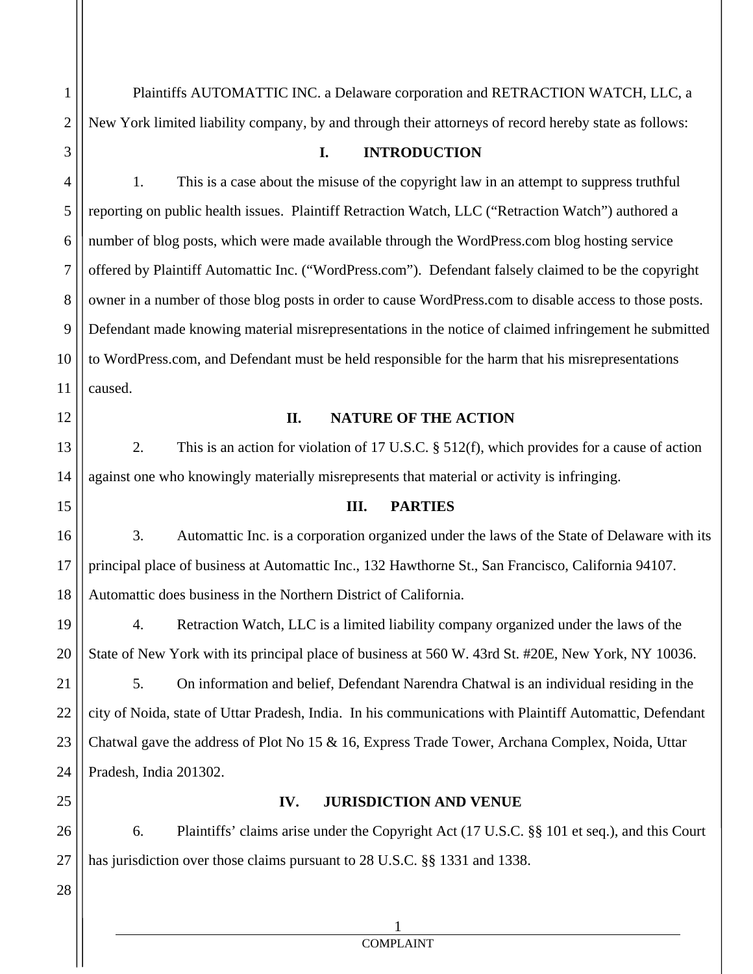Plaintiffs AUTOMATTIC INC. a Delaware corporation and RETRACTION WATCH, LLC, a New York limited liability company, by and through their attorneys of record hereby state as follows:

## **I. INTRODUCTION**

1. This is a case about the misuse of the copyright law in an attempt to suppress truthful reporting on public health issues. Plaintiff Retraction Watch, LLC ("Retraction Watch") authored a number of blog posts, which were made available through the WordPress.com blog hosting service offered by Plaintiff Automattic Inc. ("WordPress.com"). Defendant falsely claimed to be the copyright owner in a number of those blog posts in order to cause WordPress.com to disable access to those posts. Defendant made knowing material misrepresentations in the notice of claimed infringement he submitted to WordPress.com, and Defendant must be held responsible for the harm that his misrepresentations caused.

#### **II. NATURE OF THE ACTION**

2. This is an action for violation of 17 U.S.C. § 512(f), which provides for a cause of action against one who knowingly materially misrepresents that material or activity is infringing.

#### **III. PARTIES**

3. Automattic Inc. is a corporation organized under the laws of the State of Delaware with its principal place of business at Automattic Inc., 132 Hawthorne St., San Francisco, California 94107. Automattic does business in the Northern District of California.

4. Retraction Watch, LLC is a limited liability company organized under the laws of the State of New York with its principal place of business at 560 W. 43rd St. #20E, New York, NY 10036.

5. On information and belief, Defendant Narendra Chatwal is an individual residing in the city of Noida, state of Uttar Pradesh, India. In his communications with Plaintiff Automattic, Defendant Chatwal gave the address of Plot No 15 & 16, Express Trade Tower, Archana Complex, Noida, Uttar Pradesh, India 201302.

### **IV. JURISDICTION AND VENUE**

6. Plaintiffs' claims arise under the Copyright Act (17 U.S.C. §§ 101 et seq.), and this Court has jurisdiction over those claims pursuant to 28 U.S.C. §§ 1331 and 1338.

 1 COMPLAINT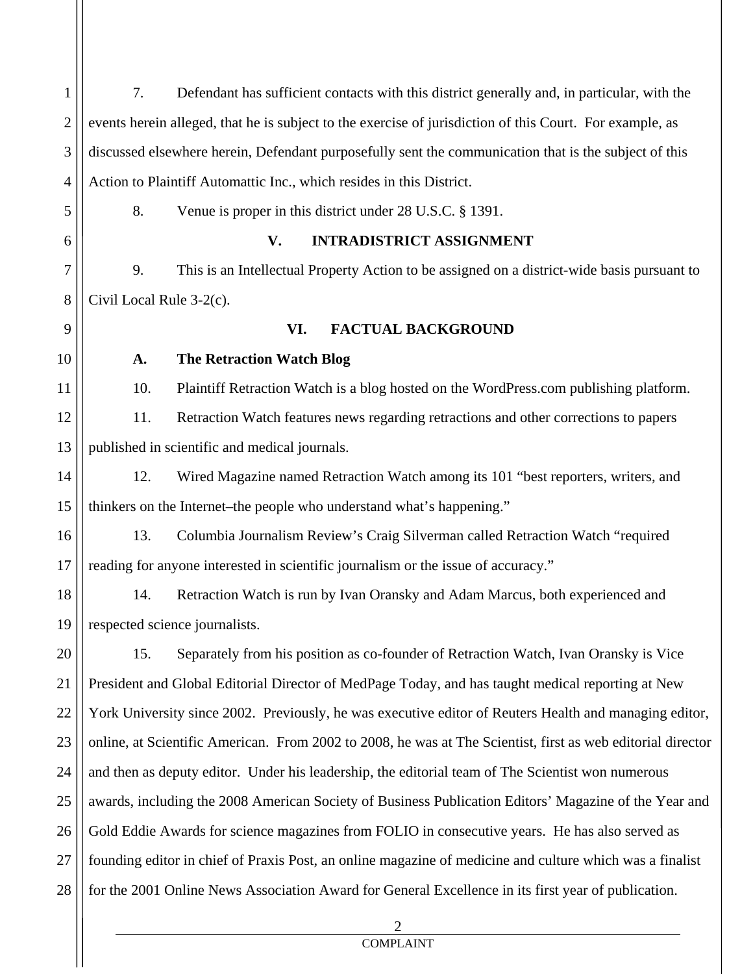| $\mathbf{1}$   | 7.                       | Defendant has sufficient contacts with this district generally and, in particular, with the                 |
|----------------|--------------------------|-------------------------------------------------------------------------------------------------------------|
| $\overline{2}$ |                          | events herein alleged, that he is subject to the exercise of jurisdiction of this Court. For example, as    |
| 3              |                          | discussed elsewhere herein, Defendant purposefully sent the communication that is the subject of this       |
| 4              |                          | Action to Plaintiff Automattic Inc., which resides in this District.                                        |
| 5              | 8.                       | Venue is proper in this district under 28 U.S.C. § 1391.                                                    |
| 6              |                          | V.<br><b>INTRADISTRICT ASSIGNMENT</b>                                                                       |
| 7              | 9.                       | This is an Intellectual Property Action to be assigned on a district-wide basis pursuant to                 |
| 8              | Civil Local Rule 3-2(c). |                                                                                                             |
| 9              |                          | VI.<br><b>FACTUAL BACKGROUND</b>                                                                            |
| 10             | A.                       | <b>The Retraction Watch Blog</b>                                                                            |
| 11             | 10.                      | Plaintiff Retraction Watch is a blog hosted on the WordPress.com publishing platform.                       |
| 12             | 11.                      | Retraction Watch features news regarding retractions and other corrections to papers                        |
| 13             |                          | published in scientific and medical journals.                                                               |
| 14             | 12.                      | Wired Magazine named Retraction Watch among its 101 "best reporters, writers, and                           |
| 15             |                          | thinkers on the Internet-the people who understand what's happening."                                       |
| 16             | 13.                      | Columbia Journalism Review's Craig Silverman called Retraction Watch "required                              |
| 17             |                          | reading for anyone interested in scientific journalism or the issue of accuracy."                           |
| 18             | 14.                      | Retraction Watch is run by Ivan Oransky and Adam Marcus, both experienced and                               |
| 19             |                          | respected science journalists.                                                                              |
| 20             | 15.                      | Separately from his position as co-founder of Retraction Watch, Ivan Oransky is Vice                        |
| 21             |                          | President and Global Editorial Director of MedPage Today, and has taught medical reporting at New           |
| 22             |                          | York University since 2002. Previously, he was executive editor of Reuters Health and managing editor,      |
| 23             |                          | online, at Scientific American. From 2002 to 2008, he was at The Scientist, first as web editorial director |
| 24             |                          | and then as deputy editor. Under his leadership, the editorial team of The Scientist won numerous           |
| 25             |                          | awards, including the 2008 American Society of Business Publication Editors' Magazine of the Year and       |
| 26             |                          | Gold Eddie Awards for science magazines from FOLIO in consecutive years. He has also served as              |
| 27             |                          | founding editor in chief of Praxis Post, an online magazine of medicine and culture which was a finalist    |
| 28             |                          | for the 2001 Online News Association Award for General Excellence in its first year of publication.         |
|                |                          | $\overline{2}$                                                                                              |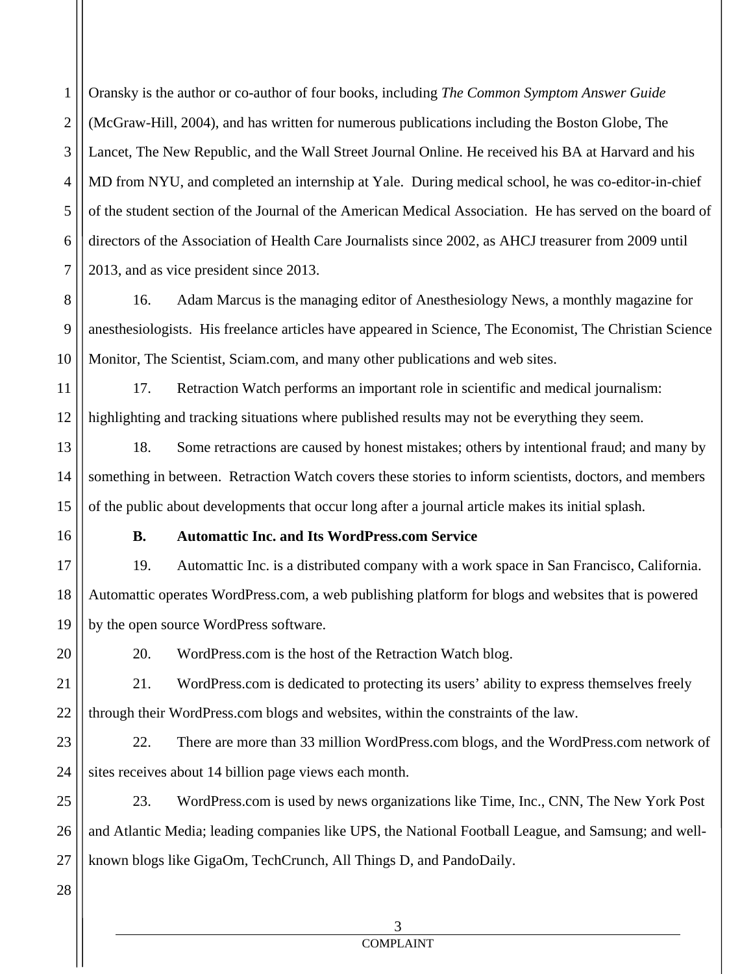1 2 3 4 5 6 7 Oransky is the author or co-author of four books, including *The Common Symptom Answer Guide* (McGraw-Hill, 2004), and has written for numerous publications including the Boston Globe, The Lancet, The New Republic, and the Wall Street Journal Online. He received his BA at Harvard and his MD from NYU, and completed an internship at Yale. During medical school, he was co-editor-in-chief of the student section of the Journal of the American Medical Association. He has served on the board of directors of the Association of Health Care Journalists since 2002, as AHCJ treasurer from 2009 until 2013, and as vice president since 2013.

8 9 10 16. Adam Marcus is the managing editor of Anesthesiology News, a monthly magazine for anesthesiologists. His freelance articles have appeared in Science, The Economist, The Christian Science Monitor, The Scientist, Sciam.com, and many other publications and web sites.

11 12 17. Retraction Watch performs an important role in scientific and medical journalism: highlighting and tracking situations where published results may not be everything they seem.

13 14 15 18. Some retractions are caused by honest mistakes; others by intentional fraud; and many by something in between. Retraction Watch covers these stories to inform scientists, doctors, and members of the public about developments that occur long after a journal article makes its initial splash.

16

20

### **B. Automattic Inc. and Its WordPress.com Service**

17 18 19 19. Automattic Inc. is a distributed company with a work space in San Francisco, California. Automattic operates WordPress.com, a web publishing platform for blogs and websites that is powered by the open source WordPress software.

20. WordPress.com is the host of the Retraction Watch blog.

21 22 21. WordPress.com is dedicated to protecting its users' ability to express themselves freely through their WordPress.com blogs and websites, within the constraints of the law.

23 24 22. There are more than 33 million WordPress.com blogs, and the WordPress.com network of sites receives about 14 billion page views each month.

25 26 27 23. WordPress.com is used by news organizations like Time, Inc., CNN, The New York Post and Atlantic Media; leading companies like UPS, the National Football League, and Samsung; and wellknown blogs like GigaOm, TechCrunch, All Things D, and PandoDaily.

28

# 3

#### COMPLAINT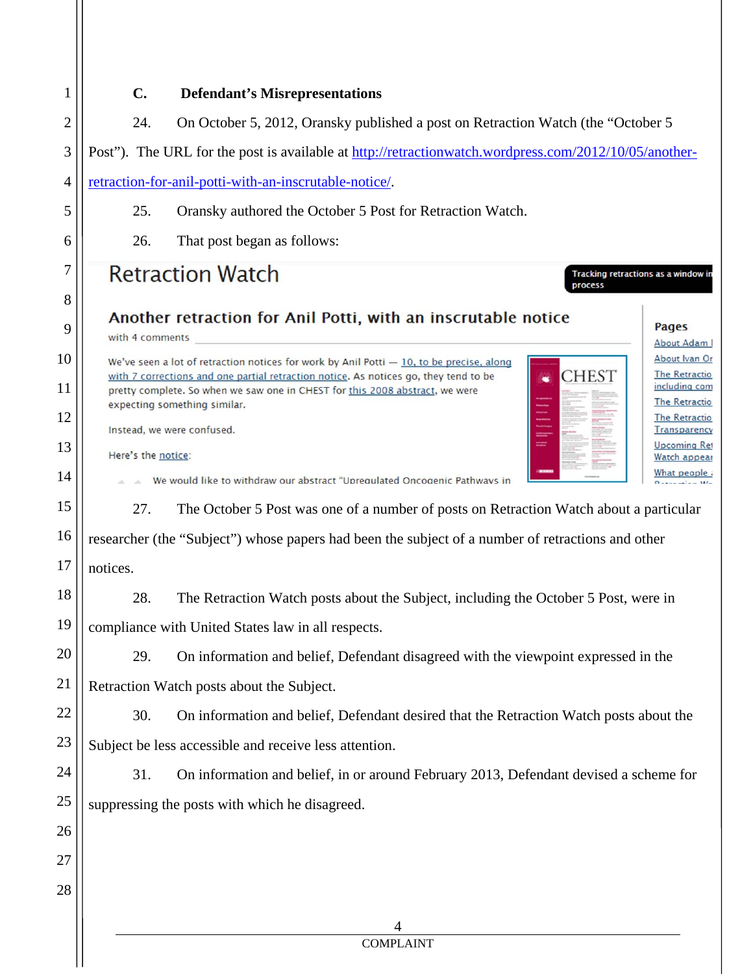| 1              | C.<br><b>Defendant's Misrepresentations</b>                                                                                                                                                                                                           |  |  |
|----------------|-------------------------------------------------------------------------------------------------------------------------------------------------------------------------------------------------------------------------------------------------------|--|--|
| $\overline{2}$ | 24.<br>On October 5, 2012, Oransky published a post on Retraction Watch (the "October 5                                                                                                                                                               |  |  |
| 3              | Post"). The URL for the post is available at http://retractionwatch.wordpress.com/2012/10/05/another-                                                                                                                                                 |  |  |
| 4              | retraction-for-anil-potti-with-an-inscrutable-notice/.                                                                                                                                                                                                |  |  |
| 5              | 25.<br>Oransky authored the October 5 Post for Retraction Watch.                                                                                                                                                                                      |  |  |
| 6              | 26.<br>That post began as follows:                                                                                                                                                                                                                    |  |  |
| 7              | <b>Retraction Watch</b><br>Tracking retractions as a window in                                                                                                                                                                                        |  |  |
| 8              | process                                                                                                                                                                                                                                               |  |  |
| 9              | Another retraction for Anil Potti, with an inscrutable notice<br><b>Pages</b><br>with 4 comments<br>About Adam                                                                                                                                        |  |  |
| 10             | About Ivan Or<br>We've seen a lot of retraction notices for work by Anil Potti $-10$ , to be precise, along                                                                                                                                           |  |  |
| 11             | <b>CHEST</b><br><b>The Retractio</b><br>with 7 corrections and one partial retraction notice. As notices go, they tend to be<br>including com<br>pretty complete. So when we saw one in CHEST for this 2008 abstract, we were<br><b>The Retractio</b> |  |  |
| 12             | expecting something similar.<br><b>The Retractio</b><br>Instead, we were confused.<br><b>Transparency</b>                                                                                                                                             |  |  |
| 13             | <b>Upcoming Ret</b><br>Here's the notice:<br>Watch appear                                                                                                                                                                                             |  |  |
| 14             | What people<br>We would like to withdraw our abstract "Upregulated Oncogenic Pathways in                                                                                                                                                              |  |  |
| 15             | 27.<br>The October 5 Post was one of a number of posts on Retraction Watch about a particular                                                                                                                                                         |  |  |
| 16             | researcher (the "Subject") whose papers had been the subject of a number of retractions and other                                                                                                                                                     |  |  |
| 17             | notices.                                                                                                                                                                                                                                              |  |  |
| 18             | 28.<br>The Retraction Watch posts about the Subject, including the October 5 Post, were in                                                                                                                                                            |  |  |
| 19             | compliance with United States law in all respects.                                                                                                                                                                                                    |  |  |
| 20             | 29.<br>On information and belief, Defendant disagreed with the viewpoint expressed in the                                                                                                                                                             |  |  |
| 21             | Retraction Watch posts about the Subject.                                                                                                                                                                                                             |  |  |
| 22             | 30.<br>On information and belief, Defendant desired that the Retraction Watch posts about the                                                                                                                                                         |  |  |
| 23             | Subject be less accessible and receive less attention.                                                                                                                                                                                                |  |  |
| 24             | 31.<br>On information and belief, in or around February 2013, Defendant devised a scheme for                                                                                                                                                          |  |  |
| 25             | suppressing the posts with which he disagreed.                                                                                                                                                                                                        |  |  |
| 26             |                                                                                                                                                                                                                                                       |  |  |
| 27             |                                                                                                                                                                                                                                                       |  |  |
| 28             |                                                                                                                                                                                                                                                       |  |  |
|                | 4                                                                                                                                                                                                                                                     |  |  |
|                | <b>COMPLAINT</b>                                                                                                                                                                                                                                      |  |  |
|                |                                                                                                                                                                                                                                                       |  |  |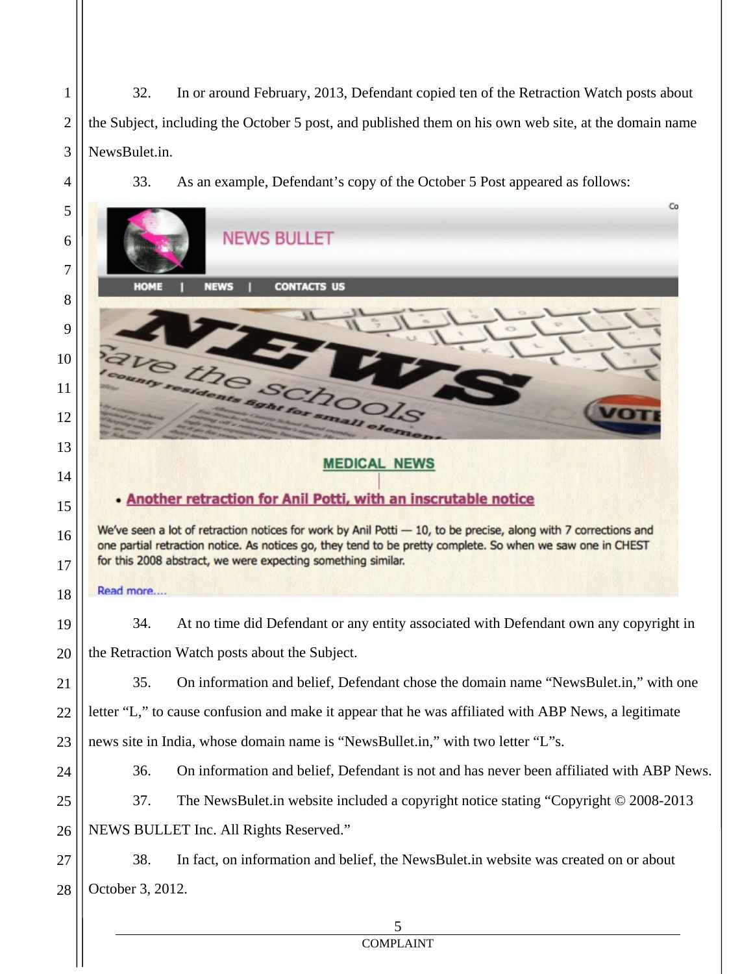32. In or around February, 2013, Defendant copied ten of the Retraction Watch posts about the Subject, including the October 5 post, and published them on his own web site, at the domain name NewsBulet.in.

1

2

3

4

33. As an example, Defendant's copy of the October 5 Post appeared as follows:

| 5<br>6 | Co<br><b>NEWS BULLET</b>                                                                                                                                                                                                      |
|--------|-------------------------------------------------------------------------------------------------------------------------------------------------------------------------------------------------------------------------------|
| 7      |                                                                                                                                                                                                                               |
| 8      | <b>CONTACTS US</b><br><b>NEWS</b><br>HOME                                                                                                                                                                                     |
| 9      |                                                                                                                                                                                                                               |
| 10     |                                                                                                                                                                                                                               |
| 11     |                                                                                                                                                                                                                               |
| 12     |                                                                                                                                                                                                                               |
| 13     |                                                                                                                                                                                                                               |
| 14     | <b>MEDICAL NEWS</b>                                                                                                                                                                                                           |
| 15     | . Another retraction for Anil Potti, with an inscrutable notice                                                                                                                                                               |
| 16     | We've seen a lot of retraction notices for work by Anil Potti - 10, to be precise, along with 7 corrections and<br>one partial retraction notice. As notices go, they tend to be pretty complete. So when we saw one in CHEST |
| 17     | for this 2008 abstract, we were expecting something similar.                                                                                                                                                                  |
| 18     | Read more                                                                                                                                                                                                                     |
| 19     | 34.<br>At no time did Defendant or any entity associated with Defendant own any copyright in                                                                                                                                  |
| 20     | the Retraction Watch posts about the Subject.                                                                                                                                                                                 |
| 21     | 35.<br>On information and belief, Defendant chose the domain name "NewsBulet.in," with one                                                                                                                                    |
| 22     | letter "L," to cause confusion and make it appear that he was affiliated with ABP News, a legitimate                                                                                                                          |
| 23     | news site in India, whose domain name is "NewsBullet.in," with two letter "L"s.                                                                                                                                               |
| 24     | On information and belief, Defendant is not and has never been affiliated with ABP News.<br>36.                                                                                                                               |
| 25     | 37.<br>The NewsBulet.in website included a copyright notice stating "Copyright © 2008-2013                                                                                                                                    |
| 26     | NEWS BULLET Inc. All Rights Reserved."                                                                                                                                                                                        |
| 27     | 38.<br>In fact, on information and belief, the NewsBulet.in website was created on or about                                                                                                                                   |
| 28     | October 3, 2012.                                                                                                                                                                                                              |
|        | 5                                                                                                                                                                                                                             |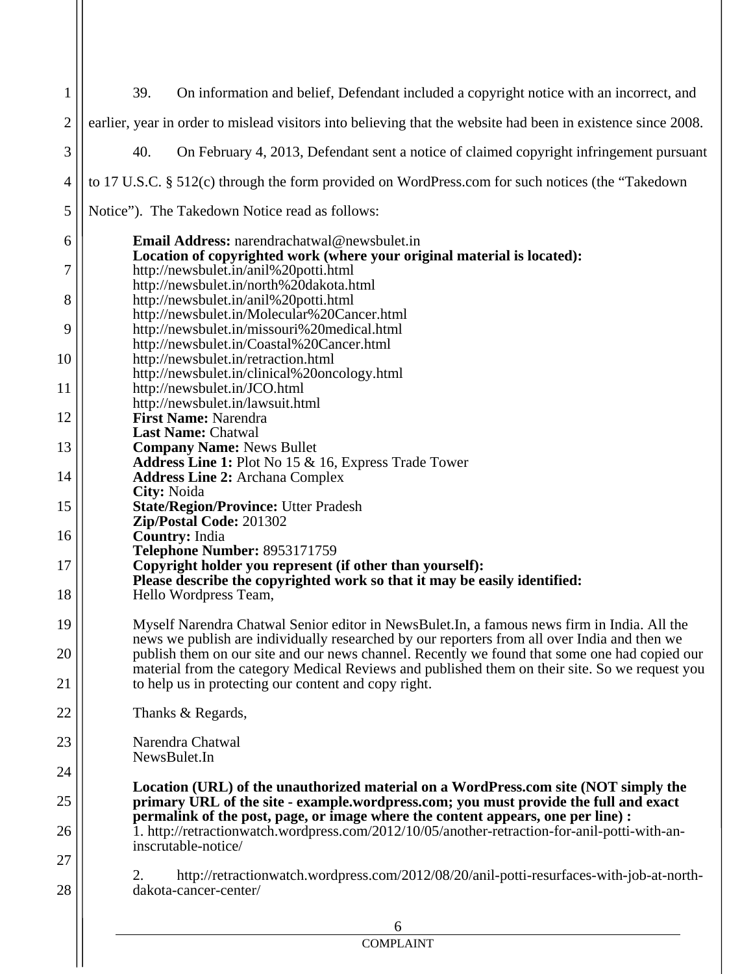| $\mathbf{1}$   | 39.<br>On information and belief, Defendant included a copyright notice with an incorrect, and                                        |
|----------------|---------------------------------------------------------------------------------------------------------------------------------------|
| $\overline{2}$ | earlier, year in order to mislead visitors into believing that the website had been in existence since 2008.                          |
| 3              | 40.<br>On February 4, 2013, Defendant sent a notice of claimed copyright infringement pursuant                                        |
| $\overline{4}$ | to 17 U.S.C. § 512(c) through the form provided on WordPress.com for such notices (the "Takedown"                                     |
| 5              | Notice"). The Takedown Notice read as follows:                                                                                        |
| 6              | Email Address: narendrachatwal@newsbulet.in                                                                                           |
| 7              | Location of copyrighted work (where your original material is located):<br>http://newsbulet.in/anil%20potti.html                      |
|                | http://newsbulet.in/north%20dakota.html                                                                                               |
| 8              | http://newsbulet.in/anil%20potti.html<br>http://newsbulet.in/Molecular%20Cancer.html                                                  |
| 9              | http://newsbulet.in/missouri%20medical.html                                                                                           |
|                | http://newsbulet.in/Coastal%20Cancer.html                                                                                             |
| 10             | http://newsbulet.in/retraction.html                                                                                                   |
|                | http://newsbulet.in/clinical%20oncology.html                                                                                          |
| 11             | http://newsbulet.in/JCO.html                                                                                                          |
| 12             | http://newsbulet.in/lawsuit.html<br><b>First Name: Narendra</b>                                                                       |
|                | <b>Last Name: Chatwal</b>                                                                                                             |
| 13             | <b>Company Name: News Bullet</b>                                                                                                      |
|                | Address Line 1: Plot No 15 & 16, Express Trade Tower                                                                                  |
| 14             | <b>Address Line 2: Archana Complex</b>                                                                                                |
|                | City: Noida                                                                                                                           |
| 15             | <b>State/Region/Province: Utter Pradesh</b>                                                                                           |
|                | Zip/Postal Code: 201302                                                                                                               |
| 16             | <b>Country: India</b>                                                                                                                 |
|                | <b>Telephone Number: 8953171759</b>                                                                                                   |
| 17             | Copyright holder you represent (if other than yourself):<br>Please describe the copyrighted work so that it may be easily identified: |
| 18             | Hello Wordpress Team,                                                                                                                 |
|                |                                                                                                                                       |
| 19             | Myself Narendra Chatwal Senior editor in NewsBulet.In, a famous news firm in India. All the                                           |
|                | news we publish are individually researched by our reporters from all over India and then we                                          |
| 20             | publish them on our site and our news channel. Recently we found that some one had copied our                                         |
|                | material from the category Medical Reviews and published them on their site. So we request you                                        |
| 21             | to help us in protecting our content and copy right.                                                                                  |
| 22             | Thanks & Regards,                                                                                                                     |
| 23             | Narendra Chatwal                                                                                                                      |
|                | NewsBulet.In                                                                                                                          |
| 24             |                                                                                                                                       |
|                | Location (URL) of the unauthorized material on a WordPress.com site (NOT simply the                                                   |
| 25             | primary URL of the site - example.wordpress.com; you must provide the full and exact                                                  |
|                | permalink of the post, page, or image where the content appears, one per line) :                                                      |
| 26             | 1. http://retractionwatch.wordpress.com/2012/10/05/another-retraction-for-anil-potti-with-an-                                         |
|                | inscrutable-notice/                                                                                                                   |
| 27             |                                                                                                                                       |
|                | http://retractionwatch.wordpress.com/2012/08/20/anil-potti-resurfaces-with-job-at-north-<br>2.                                        |
| 28             | dakota-cancer-center/                                                                                                                 |
|                |                                                                                                                                       |
|                | 6                                                                                                                                     |
|                | <b>COMPLAINT</b>                                                                                                                      |
|                |                                                                                                                                       |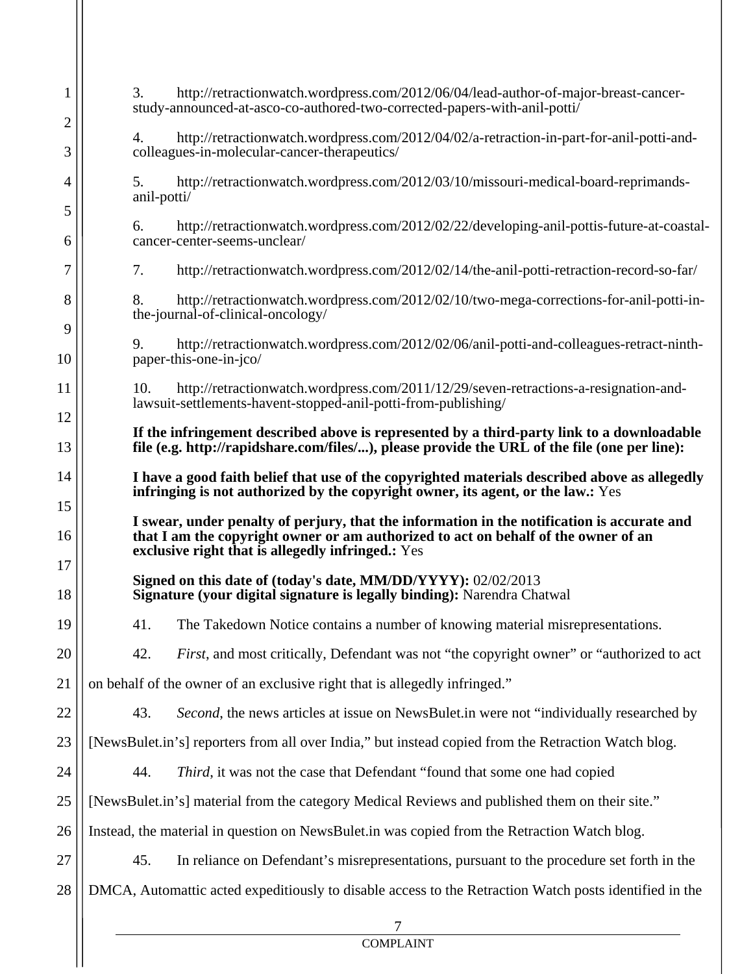| $\mathbf{1}$      | 3.<br>http://retractionwatch.wordpress.com/2012/06/04/lead-author-of-major-breast-cancer-<br>study-announced-at-asco-co-authored-two-corrected-papers-with-anil-potti/                                                                 |  |
|-------------------|----------------------------------------------------------------------------------------------------------------------------------------------------------------------------------------------------------------------------------------|--|
| $\mathbf{2}$<br>3 | http://retractionwatch.wordpress.com/2012/04/02/a-retraction-in-part-for-anil-potti-and-<br>4.<br>colleagues-in-molecular-cancer-therapeutics/                                                                                         |  |
| $\overline{4}$    | http://retractionwatch.wordpress.com/2012/03/10/missouri-medical-board-reprimands-<br>5.<br>anil-potti/                                                                                                                                |  |
| 5<br>6            | http://retractionwatch.wordpress.com/2012/02/22/developing-anil-pottis-future-at-coastal-<br>6.<br>cancer-center-seems-unclear/                                                                                                        |  |
| $\tau$            | http://retractionwatch.wordpress.com/2012/02/14/the-anil-potti-retraction-record-so-far/<br>7.                                                                                                                                         |  |
| 8                 | http://retractionwatch.wordpress.com/2012/02/10/two-mega-corrections-for-anil-potti-in-<br>8.<br>the-journal-of-clinical-oncology/                                                                                                     |  |
| 9<br>10           | http://retractionwatch.wordpress.com/2012/02/06/anil-potti-and-colleagues-retract-ninth-<br>9.<br>paper-this-one-in-jco/                                                                                                               |  |
| 11                | http://retractionwatch.wordpress.com/2011/12/29/seven-retractions-a-resignation-and-<br>10.<br>lawsuit-settlements-havent-stopped-anil-potti-from-publishing/                                                                          |  |
| 12<br>13          | If the infringement described above is represented by a third-party link to a downloadable<br>file (e.g. http://rapidshare.com/files/), please provide the URL of the file (one per line):                                             |  |
| 14                | I have a good faith belief that use of the copyrighted materials described above as allegedly                                                                                                                                          |  |
| 15                | infringing is not authorized by the copyright owner, its agent, or the law.: Yes                                                                                                                                                       |  |
| 16                | I swear, under penalty of perjury, that the information in the notification is accurate and<br>that I am the copyright owner or am authorized to act on behalf of the owner of an<br>exclusive right that is allegedly infringed.: Yes |  |
| 17<br>18          | Signed on this date of (today's date, MM/DD/YYYY): 02/02/2013<br>Signature (your digital signature is legally binding): Narendra Chatwal                                                                                               |  |
| 19                | 41.<br>The Takedown Notice contains a number of knowing material misrepresentations.                                                                                                                                                   |  |
| 20                | 42.<br>First, and most critically, Defendant was not "the copyright owner" or "authorized to act                                                                                                                                       |  |
| 21                | on behalf of the owner of an exclusive right that is allegedly infringed."                                                                                                                                                             |  |
| 22                | 43.<br>Second, the news articles at issue on NewsBulet.in were not "individually researched by                                                                                                                                         |  |
| 23                | [NewsBulet.in's] reporters from all over India," but instead copied from the Retraction Watch blog.                                                                                                                                    |  |
| 24                | 44.<br>Third, it was not the case that Defendant "found that some one had copied                                                                                                                                                       |  |
| 25                | [NewsBulet.in's] material from the category Medical Reviews and published them on their site."                                                                                                                                         |  |
| 26                | Instead, the material in question on NewsBulet.in was copied from the Retraction Watch blog.                                                                                                                                           |  |
| 27                | 45.<br>In reliance on Defendant's misrepresentations, pursuant to the procedure set forth in the                                                                                                                                       |  |
| 28                | DMCA, Automattic acted expeditiously to disable access to the Retraction Watch posts identified in the                                                                                                                                 |  |
|                   |                                                                                                                                                                                                                                        |  |
|                   | <b>COMPLAINT</b>                                                                                                                                                                                                                       |  |
|                   |                                                                                                                                                                                                                                        |  |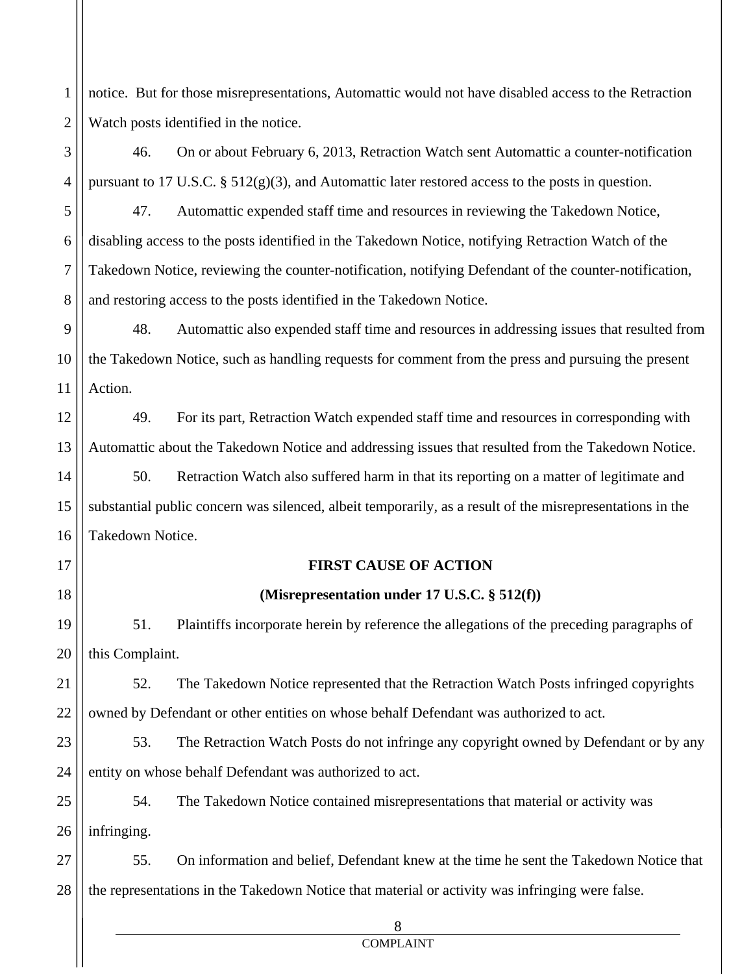1 2 notice. But for those misrepresentations, Automattic would not have disabled access to the Retraction Watch posts identified in the notice.

4 46. On or about February 6, 2013, Retraction Watch sent Automattic a counter-notification pursuant to 17 U.S.C. § 512(g)(3), and Automattic later restored access to the posts in question.

3

17

18

5 6 7 8 47. Automattic expended staff time and resources in reviewing the Takedown Notice, disabling access to the posts identified in the Takedown Notice, notifying Retraction Watch of the Takedown Notice, reviewing the counter-notification, notifying Defendant of the counter-notification, and restoring access to the posts identified in the Takedown Notice.

9 10 11 48. Automattic also expended staff time and resources in addressing issues that resulted from the Takedown Notice, such as handling requests for comment from the press and pursuing the present Action.

12 13 49. For its part, Retraction Watch expended staff time and resources in corresponding with Automattic about the Takedown Notice and addressing issues that resulted from the Takedown Notice.

14 15 16 50. Retraction Watch also suffered harm in that its reporting on a matter of legitimate and substantial public concern was silenced, albeit temporarily, as a result of the misrepresentations in the Takedown Notice.

# **FIRST CAUSE OF ACTION**

# **(Misrepresentation under 17 U.S.C. § 512(f))**

19 20 51. Plaintiffs incorporate herein by reference the allegations of the preceding paragraphs of this Complaint.

21 22 52. The Takedown Notice represented that the Retraction Watch Posts infringed copyrights owned by Defendant or other entities on whose behalf Defendant was authorized to act.

23 24 53. The Retraction Watch Posts do not infringe any copyright owned by Defendant or by any entity on whose behalf Defendant was authorized to act.

25 26 54. The Takedown Notice contained misrepresentations that material or activity was infringing.

27 28 55. On information and belief, Defendant knew at the time he sent the Takedown Notice that the representations in the Takedown Notice that material or activity was infringing were false.